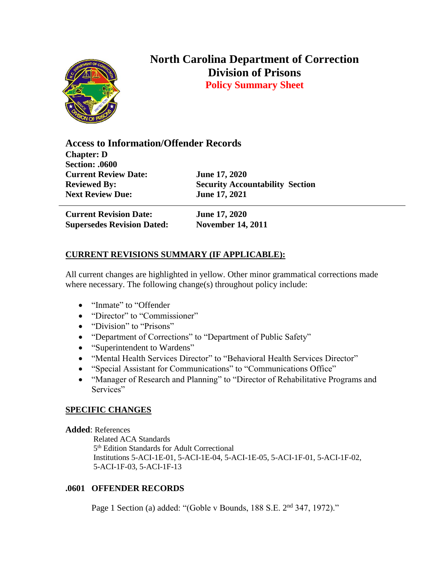

# **North Carolina Department of Correction Division of Prisons**

**Policy Summary Sheet**

**Access to Information/Offender Records Chapter: D Section: .0600 Current Review Date: June 17, 2020 Reviewed By: Security Accountability Section Next Review Due: June 17, 2021**

**Current Revision Date: June 17, 2020 Supersedes Revision Dated: November 14, 2011**

## **CURRENT REVISIONS SUMMARY (IF APPLICABLE):**

All current changes are highlighted in yellow. Other minor grammatical corrections made where necessary. The following change(s) throughout policy include:

- "Inmate" to "Offender
- "Director" to "Commissioner"
- "Division" to "Prisons"
- "Department of Corrections" to "Department of Public Safety"
- "Superintendent to Wardens"
- "Mental Health Services Director" to "Behavioral Health Services Director"
- "Special Assistant for Communications" to "Communications Office"
- "Manager of Research and Planning" to "Director of Rehabilitative Programs and Services"

## **SPECIFIC CHANGES**

### **Added**: References

 Related ACA Standards 5<sup>th</sup> Edition Standards for Adult Correctional Institutions 5-ACI-1E-01, 5-ACI-1E-04, 5-ACI-1E-05, 5-ACI-1F-01, 5-ACI-1F-02, 5-ACI-1F-03, 5-ACI-1F-13

## **.0601 OFFENDER RECORDS**

Page 1 Section (a) added: "(Goble v Bounds, 188 S.E. 2<sup>nd</sup> 347, 1972)."